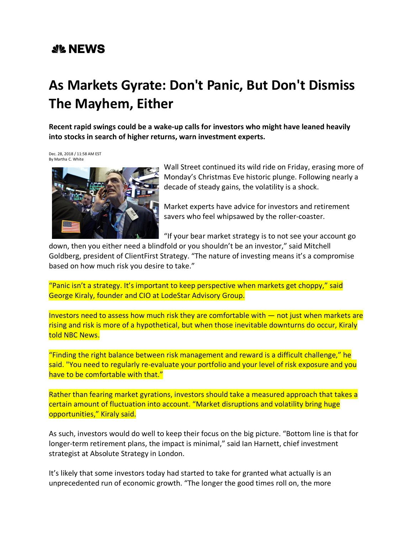## *SIL* NEWS

## **As Markets Gyrate: Don't Panic, But Don't Dismiss The Mayhem, Either**

**Recent rapid swings could be a wake-up calls for investors who might have leaned heavily into stocks in search of higher returns, warn investment experts.**

Dec. 28, 2018 / 11:58 AM EST By Martha C. White



Wall Street continued its wild ride on Friday, erasing more of Monday's Christmas Eve historic plunge. Following nearly a decade of steady gains, the volatility is a shock.

Market experts have advice for investors and retirement savers who feel whipsawed by the roller-coaster.

"If your bear market strategy is to not see your account go

down, then you either need a blindfold or you shouldn't be an investor," said Mitchell Goldberg, president of ClientFirst Strategy. "The nature of investing means it's a compromise based on how much risk you desire to take."

"Panic isn't a strategy. It's important to keep perspective when markets get choppy," said George Kiraly, founder and CIO at LodeStar Advisory Group.

Investors need to assess how much risk they are comfortable with  $-$  not just when markets are rising and risk is more of a hypothetical, but when those inevitable downturns do occur, Kiraly told NBC News.

"Finding the right balance between risk management and reward is a difficult challenge," he said. "You need to regularly re-evaluate your portfolio and your level of risk exposure and you have to be comfortable with that."

Rather than fearing market gyrations, investors should take a measured approach that takes a certain amount of fluctuation into account. "Market disruptions and volatility bring huge opportunities," Kiraly said.

As such, investors would do well to keep their focus on the big picture. "Bottom line is that for longer-term retirement plans, the impact is minimal," said Ian Harnett, chief investment strategist at Absolute Strategy in London.

It's likely that some investors today had started to take for granted what actually is an unprecedented run of economic growth. "The longer the good times roll on, the more